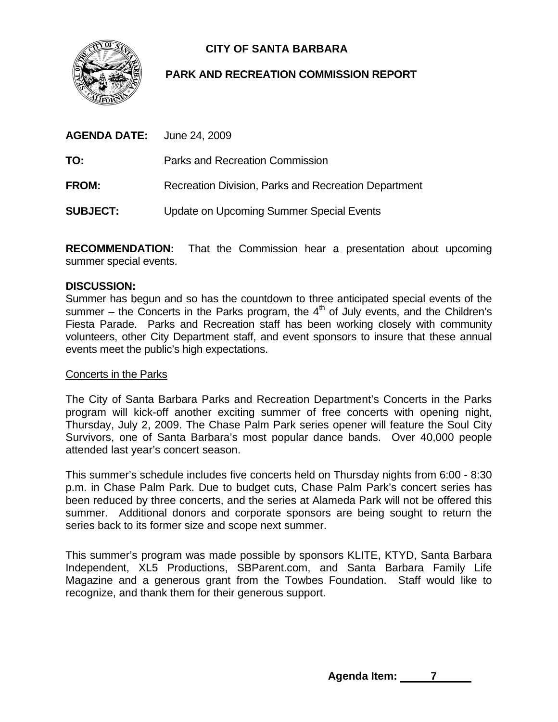

# **CITY OF SANTA BARBARA**

# **PARK AND RECREATION COMMISSION REPORT**

| <b>AGENDA DATE:</b> June 24, 2009 |                                                      |
|-----------------------------------|------------------------------------------------------|
| TO:                               | Parks and Recreation Commission                      |
| <b>FROM:</b>                      | Recreation Division, Parks and Recreation Department |
| <b>SUBJECT:</b>                   | Update on Upcoming Summer Special Events             |

**RECOMMENDATION:** That the Commission hear a presentation about upcoming summer special events.

### **DISCUSSION:**

Summer has begun and so has the countdown to three anticipated special events of the summer – the Concerts in the Parks program, the  $4<sup>th</sup>$  of July events, and the Children's Fiesta Parade. Parks and Recreation staff has been working closely with community volunteers, other City Department staff, and event sponsors to insure that these annual events meet the public's high expectations.

#### Concerts in the Parks

The City of Santa Barbara Parks and Recreation Department's Concerts in the Parks program will kick-off another exciting summer of free concerts with opening night, Thursday, July 2, 2009. The Chase Palm Park series opener will feature the Soul City Survivors, one of Santa Barbara's most popular dance bands. Over 40,000 people attended last year's concert season.

This summer's schedule includes five concerts held on Thursday nights from 6:00 - 8:30 p.m. in Chase Palm Park. Due to budget cuts, Chase Palm Park's concert series has been reduced by three concerts, and the series at Alameda Park will not be offered this summer. Additional donors and corporate sponsors are being sought to return the series back to its former size and scope next summer.

This summer's program was made possible by sponsors KLITE, KTYD, Santa Barbara Independent, XL5 Productions, SBParent.com, and Santa Barbara Family Life Magazine and a generous grant from the Towbes Foundation. Staff would like to recognize, and thank them for their generous support.

Agenda Item: 7